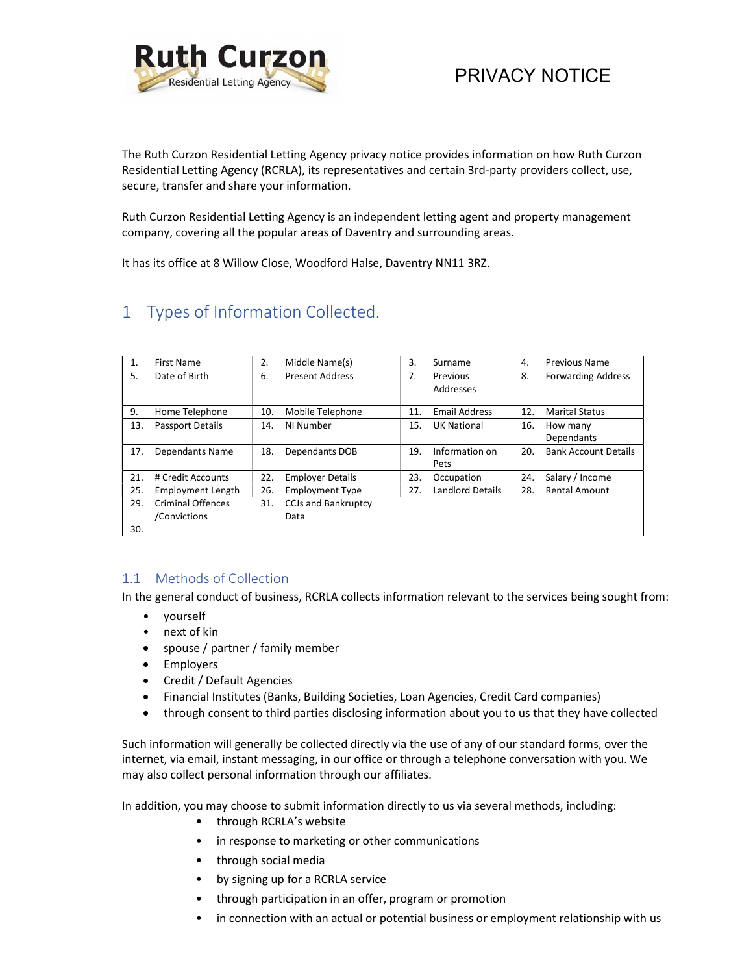

The Ruth Curzon Residential Letting Agency privacy notice provides information on how Ruth Curzon Residential Letting Agency (RCRLA), its representatives and certain 3rd-party providers collect, use, secure, transfer and share your information.

Ruth Curzon Residential Letting Agency is an independent letting agent and property management company, covering all the popular areas of Daventry and surrounding areas.

It has its office at 8 Willow Close, Woodford Halse, Daventry NN11 3RZ.

# 1 Types of Information Collected.

| 1.  | First Name               | 2.  | Middle Name(s)             | 3.  | Surname              | 4.  | <b>Previous Name</b>        |
|-----|--------------------------|-----|----------------------------|-----|----------------------|-----|-----------------------------|
| 5.  | Date of Birth            | 6.  | <b>Present Address</b>     | 7.  | Previous             | 8.  | <b>Forwarding Address</b>   |
|     |                          |     |                            |     | Addresses            |     |                             |
| 9.  | Home Telephone           | 10. | Mobile Telephone           | 11. | <b>Email Address</b> | 12. | <b>Marital Status</b>       |
|     |                          |     |                            |     |                      |     |                             |
| 13. | <b>Passport Details</b>  | 14. | NI Number                  | 15. | <b>UK National</b>   | 16. | How many                    |
|     |                          |     |                            |     |                      |     | Dependants                  |
| 17. | Dependants Name          | 18. | Dependants DOB             | 19. | Information on       | 20. | <b>Bank Account Details</b> |
|     |                          |     |                            |     | Pets                 |     |                             |
| 21. | # Credit Accounts        | 22. | <b>Employer Details</b>    | 23. | Occupation           | 24. | Salary / Income             |
| 25. | Employment Length        | 26. | <b>Employment Type</b>     | 27. | Landlord Details     | 28. | <b>Rental Amount</b>        |
| 29. | <b>Criminal Offences</b> | 31. | <b>CCJs and Bankruptcy</b> |     |                      |     |                             |
|     | /Convictions             |     | Data                       |     |                      |     |                             |
| 30. |                          |     |                            |     |                      |     |                             |

#### 1.1 Methods of Collection

In the general conduct of business, RCRLA collects information relevant to the services being sought from:<br>• yourself • next of kin

- 
- 
- spouse / partner / family member
- Employers
- Credit / Default Agencies
- Financial Institutes (Banks, Building Societies, Loan Agencies, Credit Card companies)
- through consent to third parties disclosing information about you to us that they have collected

Such information will generally be collected directly via the use of any of our standard forms, over the internet, via email, instant messaging, in our office or through a telephone conversation with you. We may also collect personal information through our affiliates.

- 
- 
- 
- 
- 
- In addition, you may choose to submit information directly to us via several methods, including:<br>
through RCRLA's website<br>
in response to marketing or other communications<br>
through social media<br>
by signing up for a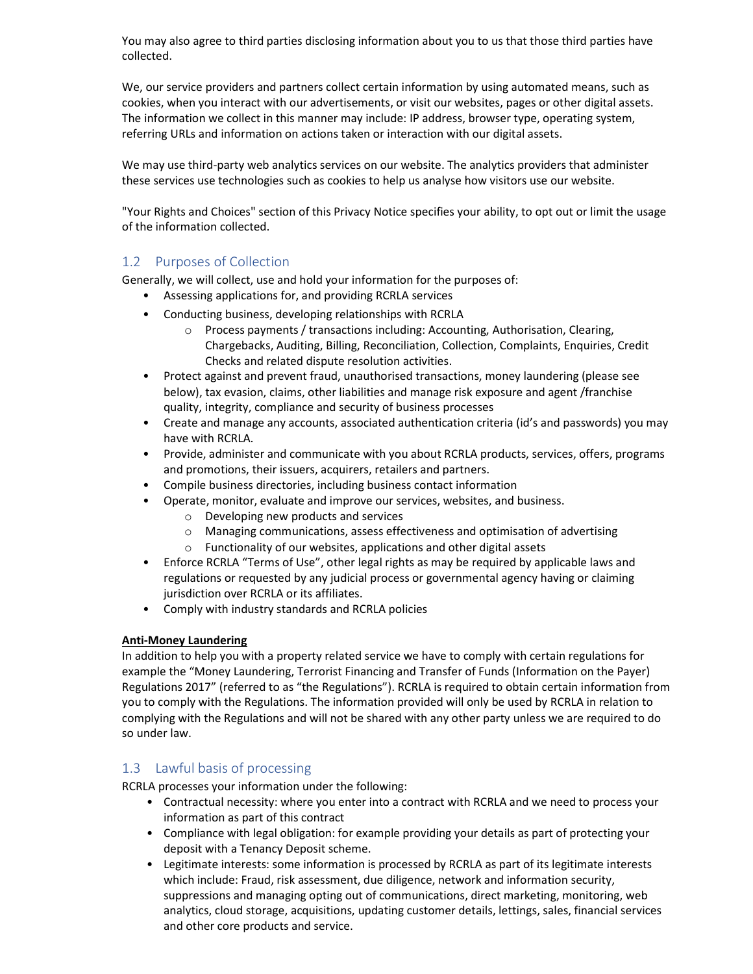You may also agree to third parties disclosing information about you to us that those third parties have collected.

We, our service providers and partners collect certain information by using automated means, such as cookies, when you interact with our advertisements, or visit our websites, pages or other digital assets. The information we collect in this manner may include: IP address, browser type, operating system, referring URLs and information on actions taken or interaction with our digital assets.

We may use third-party web analytics services on our website. The analytics providers that administer these services use technologies such as cookies to help us analyse how visitors use our website.

"Your Rights and Choices" section of this Privacy Notice specifies your ability, to opt out or limit the usage of the information collected.

#### 1.2 Purposes of Collection

Generally, we will collect, use and hold your information for the purposes of:

- Assessing applications for, and providing RCRLA services
- Conducting business, developing relationships with RCRLA
	- $\circ$  Process payments / transactions including: Accounting, Authorisation, Clearing, Chargebacks, Auditing, Billing, Reconciliation, Collection, Complaints, Enquiries, Credit Checks and related dispute resolution activities.
- Protect against and prevent fraud, unauthorised transactions, money laundering (please see below), tax evasion, claims, other liabilities and manage risk exposure and agent /franchise quality, integrity, compliance and security of business processes
- Create and manage any accounts, associated authentication criteria (id's and passwords) you may have with RCRLA.
- Provide, administer and communicate with you about RCRLA products, services, offers, programs and promotions, their issuers, acquirers, retailers and partners.
- Compile business directories, including business contact information
- Operate, monitor, evaluate and improve our services, websites, and business.
	- o Developing new products and services
	- o Managing communications, assess effectiveness and optimisation of advertising
	- o Functionality of our websites, applications and other digital assets
- Enforce RCRLA "Terms of Use", other legal rights as may be required by applicable laws and regulations or requested by any judicial process or governmental agency having or claiming jurisdiction over RCRLA or its affiliates.
- Comply with industry standards and RCRLA policies

#### Anti-Money Laundering

In addition to help you with a property related service we have to comply with certain regulations for example the "Money Laundering, Terrorist Financing and Transfer of Funds (Information on the Payer) Regulations 2017" (referred to as "the Regulations"). RCRLA is required to obtain certain information from you to comply with the Regulations. The information provided will only be used by RCRLA in relation to complying with the Regulations and will not be shared with any other party unless we are required to do so under law.

## 1.3 Lawful basis of processing

RCRLA processes your information under the following:

- Contractual necessity: where you enter into a contract with RCRLA and we need to process your information as part of this contract
- Compliance with legal obligation: for example providing your details as part of protecting your deposit with a Tenancy Deposit scheme.
- Legitimate interests: some information is processed by RCRLA as part of its legitimate interests which include: Fraud, risk assessment, due diligence, network and information security, suppressions and managing opting out of communications, direct marketing, monitoring, web analytics, cloud storage, acquisitions, updating customer details, lettings, sales, financial services and other core products and service.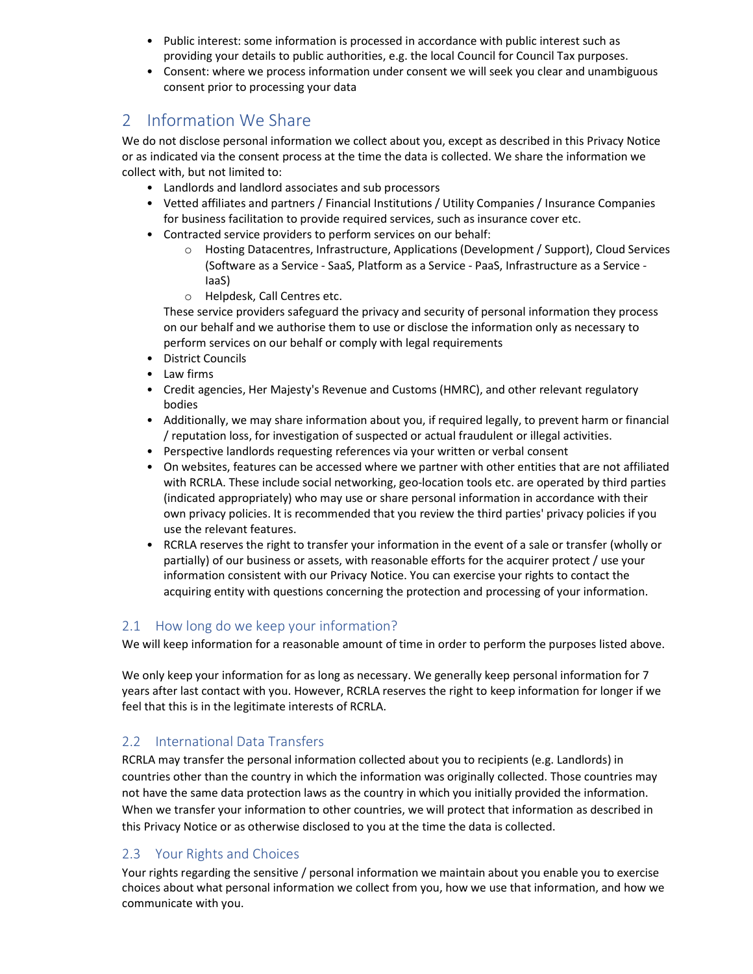- Public interest: some information is processed in accordance with public interest such as providing your details to public authorities, e.g. the local Council for Council Tax purposes.
- Consent: where we process information under consent we will seek you clear and unambiguous consent prior to processing your data

## 2 Information We Share

We do not disclose personal information we collect about you, except as described in this Privacy Notice or as indicated via the consent process at the time the data is collected. We share the information we collect with, but not limited to:

- Landlords and landlord associates and sub processors
- Vetted affiliates and partners / Financial Institutions / Utility Companies / Insurance Companies for business facilitation to provide required services, such as insurance cover etc.
- Contracted service providers to perform services on our behalf:
	- o Hosting Datacentres, Infrastructure, Applications (Development / Support), Cloud Services (Software as a Service - SaaS, Platform as a Service - PaaS, Infrastructure as a Service - IaaS)
	- o Helpdesk, Call Centres etc.

These service providers safeguard the privacy and security of personal information they process on our behalf and we authorise them to use or disclose the information only as necessary to perform services on our behalf or comply with legal requirements

- District Councils
- Law firms
- Credit agencies, Her Majesty's Revenue and Customs (HMRC), and other relevant regulatory bodies
- Additionally, we may share information about you, if required legally, to prevent harm or financial / reputation loss, for investigation of suspected or actual fraudulent or illegal activities.
- Perspective landlords requesting references via your written or verbal consent
- On websites, features can be accessed where we partner with other entities that are not affiliated with RCRLA. These include social networking, geo-location tools etc. are operated by third parties (indicated appropriately) who may use or share personal information in accordance with their own privacy policies. It is recommended that you review the third parties' privacy policies if you use the relevant features.
- RCRLA reserves the right to transfer your information in the event of a sale or transfer (wholly or partially) of our business or assets, with reasonable efforts for the acquirer protect / use your information consistent with our Privacy Notice. You can exercise your rights to contact the acquiring entity with questions concerning the protection and processing of your information.

## 2.1 How long do we keep your information?

We will keep information for a reasonable amount of time in order to perform the purposes listed above.

We only keep your information for as long as necessary. We generally keep personal information for 7 years after last contact with you. However, RCRLA reserves the right to keep information for longer if we feel that this is in the legitimate interests of RCRLA.

## 2.2 International Data Transfers

RCRLA may transfer the personal information collected about you to recipients (e.g. Landlords) in countries other than the country in which the information was originally collected. Those countries may not have the same data protection laws as the country in which you initially provided the information. When we transfer your information to other countries, we will protect that information as described in this Privacy Notice or as otherwise disclosed to you at the time the data is collected.

## 2.3 Your Rights and Choices

Your rights regarding the sensitive / personal information we maintain about you enable you to exercise choices about what personal information we collect from you, how we use that information, and how we communicate with you.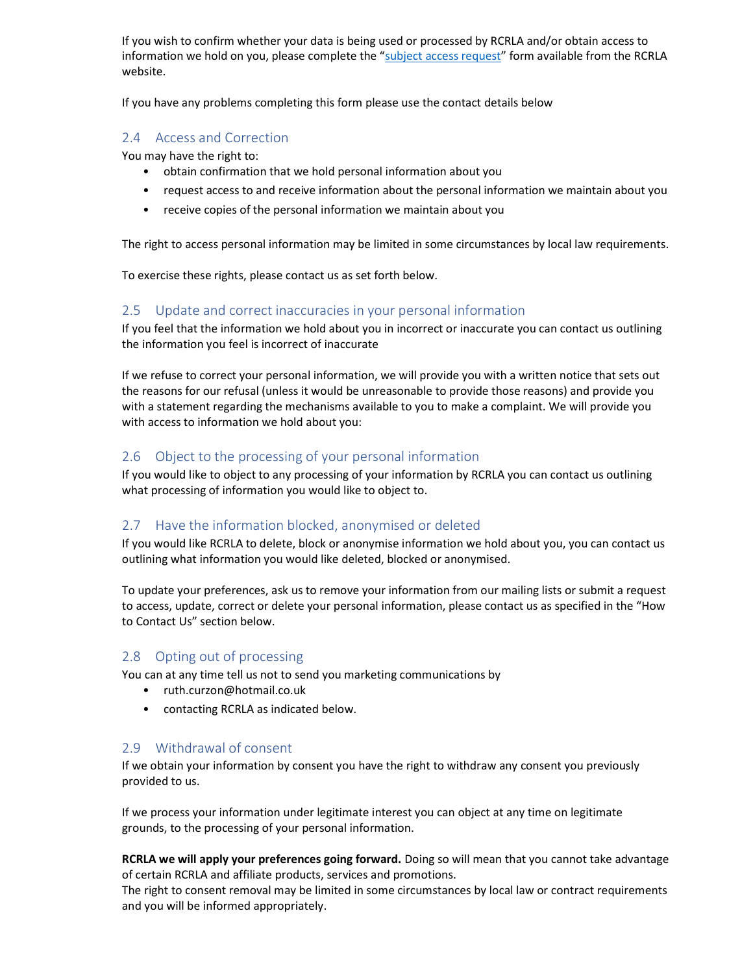If you wish to confirm whether your data is being used or processed by RCRLA and/or obtain access to information we hold on you, please complete the "subject access request" form available from the RCRLA website.

If you have any problems completing this form please use the contact details below

### 2.4 Access and Correction

You may have the right to:

- obtain confirmation that we hold personal information about you
- request access to and receive information about the personal information we maintain about you
- receive copies of the personal information we maintain about you

The right to access personal information may be limited in some circumstances by local law requirements.

To exercise these rights, please contact us as set forth below.

#### 2.5 Update and correct inaccuracies in your personal information

If you feel that the information we hold about you in incorrect or inaccurate you can contact us outlining the information you feel is incorrect of inaccurate

If we refuse to correct your personal information, we will provide you with a written notice that sets out the reasons for our refusal (unless it would be unreasonable to provide those reasons) and provide you with a statement regarding the mechanisms available to you to make a complaint. We will provide you with access to information we hold about you:

#### 2.6 Object to the processing of your personal information

If you would like to object to any processing of your information by RCRLA you can contact us outlining what processing of information you would like to object to.

#### 2.7 Have the information blocked, anonymised or deleted

If you would like RCRLA to delete, block or anonymise information we hold about you, you can contact us outlining what information you would like deleted, blocked or anonymised.

To update your preferences, ask us to remove your information from our mailing lists or submit a request to access, update, correct or delete your personal information, please contact us as specified in the "How to Contact Us" section below.

#### 2.8 Opting out of processing

You can at any time tell us not to send you marketing communications by

- ruth.curzon@hotmail.co.uk
- contacting RCRLA as indicated below.

#### 2.9 Withdrawal of consent

If we obtain your information by consent you have the right to withdraw any consent you previously provided to us.

If we process your information under legitimate interest you can object at any time on legitimate grounds, to the processing of your personal information.

RCRLA we will apply your preferences going forward. Doing so will mean that you cannot take advantage of certain RCRLA and affiliate products, services and promotions.

The right to consent removal may be limited in some circumstances by local law or contract requirements and you will be informed appropriately.